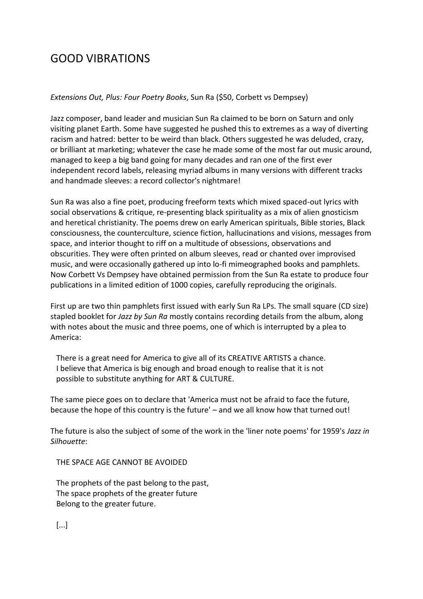## GOOD VIBRATIONS

## *Extensions Out, Plus: Four Poetry Books*, Sun Ra (\$50, Corbett vs Dempsey)

Jazz composer, band leader and musician Sun Ra claimed to be born on Saturn and only visiting planet Earth. Some have suggested he pushed this to extremes as a way of diverting racism and hatred: better to be weird than black. Others suggested he was deluded, crazy, or brilliant at marketing; whatever the case he made some of the most far out music around, managed to keep a big band going for many decades and ran one of the first ever independent record labels, releasing myriad albums in many versions with different tracks and handmade sleeves: a record collector's nightmare!

Sun Ra was also a fine poet, producing freeform texts which mixed spaced-out lyrics with social observations & critique, re-presenting black spirituality as a mix of alien gnosticism and heretical christianity. The poems drew on early American spirituals, Bible stories, Black consciousness, the counterculture, science fiction, hallucinations and visions, messages from space, and interior thought to riff on a multitude of obsessions, observations and obscurities. They were often printed on album sleeves, read or chanted over improvised music, and were occasionally gathered up into lo-fi mimeographed books and pamphlets. Now Corbett Vs Dempsey have obtained permission from the Sun Ra estate to produce four publications in a limited edition of 1000 copies, carefully reproducing the originals.

First up are two thin pamphlets first issued with early Sun Ra LPs. The small square (CD size) stapled booklet for *Jazz by Sun Ra* mostly contains recording details from the album, along with notes about the music and three poems, one of which is interrupted by a plea to America:

 There is a great need for America to give all of its CREATIVE ARTISTS a chance. I believe that America is big enough and broad enough to realise that it is not possible to substitute anything for ART & CULTURE.

The same piece goes on to declare that 'America must not be afraid to face the future, because the hope of this country is the future' – and we all know how that turned out!

The future is also the subject of some of the work in the 'liner note poems' for 1959's *Jazz in Silhouette*:

THE SPACE AGE CANNOT BE AVOIDED

 The prophets of the past belong to the past, The space prophets of the greater future Belong to the greater future.

[...]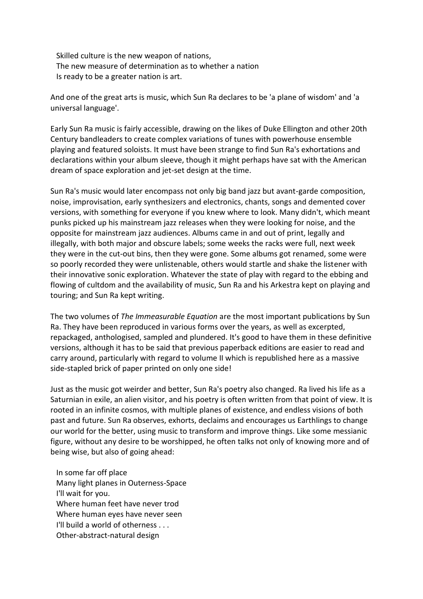Skilled culture is the new weapon of nations, The new measure of determination as to whether a nation Is ready to be a greater nation is art.

And one of the great arts is music, which Sun Ra declares to be 'a plane of wisdom' and 'a universal language'.

Early Sun Ra music is fairly accessible, drawing on the likes of Duke Ellington and other 20th Century bandleaders to create complex variations of tunes with powerhouse ensemble playing and featured soloists. It must have been strange to find Sun Ra's exhortations and declarations within your album sleeve, though it might perhaps have sat with the American dream of space exploration and jet-set design at the time.

Sun Ra's music would later encompass not only big band jazz but avant-garde composition, noise, improvisation, early synthesizers and electronics, chants, songs and demented cover versions, with something for everyone if you knew where to look. Many didn't, which meant punks picked up his mainstream jazz releases when they were looking for noise, and the opposite for mainstream jazz audiences. Albums came in and out of print, legally and illegally, with both major and obscure labels; some weeks the racks were full, next week they were in the cut-out bins, then they were gone. Some albums got renamed, some were so poorly recorded they were unlistenable, others would startle and shake the listener with their innovative sonic exploration. Whatever the state of play with regard to the ebbing and flowing of cultdom and the availability of music, Sun Ra and his Arkestra kept on playing and touring; and Sun Ra kept writing.

The two volumes of *The Immeasurable Equation* are the most important publications by Sun Ra. They have been reproduced in various forms over the years, as well as excerpted, repackaged, anthologised, sampled and plundered. It's good to have them in these definitive versions, although it has to be said that previous paperback editions are easier to read and carry around, particularly with regard to volume II which is republished here as a massive side-stapled brick of paper printed on only one side!

Just as the music got weirder and better, Sun Ra's poetry also changed. Ra lived his life as a Saturnian in exile, an alien visitor, and his poetry is often written from that point of view. It is rooted in an infinite cosmos, with multiple planes of existence, and endless visions of both past and future. Sun Ra observes, exhorts, declaims and encourages us Earthlings to change our world for the better, using music to transform and improve things. Like some messianic figure, without any desire to be worshipped, he often talks not only of knowing more and of being wise, but also of going ahead:

 In some far off place Many light planes in Outerness-Space I'll wait for you. Where human feet have never trod Where human eyes have never seen I'll build a world of otherness . . . Other-abstract-natural design